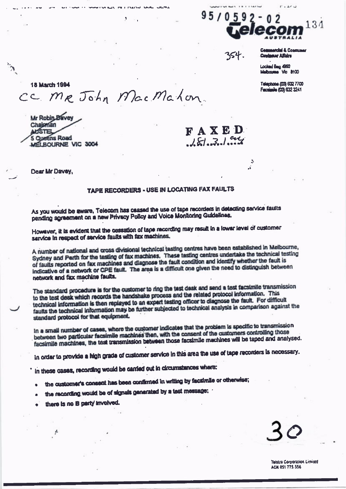

ģ.

**Campatchi & Consumer** mar Affairs

Locked Bag 4960 Melboume Vio 8100

Telephone (03) 632 7700 Facaimile (03) 632 3241

18 March 1994 CC. MR John Mac Mahon.

Mr Robin Davey Chajoman WSTEL 5 Queens Road MELBOURNE VIC 3004

FAXED  $181.31$  ary

Dear Mr Davey,

## TAPE RECORDERS - USE IN LOCATING FAX FAULTS

As you would be aware, Telecom has caased the use of tape recorders in detecting service faults pending agreement on a new Privacy Policy and Voice Monitoring Guidalines.

However, it is evident that the cessation of tape recording may result in a lower level of customer service in respect of service faults with fax machines.

A number of national and cross divisional technical testing centres have been established in Melbourne, Sydney and Perth for the testing of fax machines. These testing centres undertake the technical testing of faults reported on fax machines and diagnose the fault condition and identify whether the fault is indicative of a network or CPE fault. The area is a difficult one given the need to distinguish between network and fax machine faults.

The standard procedure is for the customer to ring the test desk and send a test facsimile transmission to the test desk which records the handshake process and the related protocol information. This technical information is then replayed to an expert testing officer to diagnose the fault. For difficult faults the technical information may be further subjected to technical analysis in comparison against the standard protocol for that equipment.

In a small number of cases, where the customer indicates that the problem is specific to transmission between two particular facsimile machines then, with the consent of the customers controlling those facsimile machines, the test transmission between those facsimile machines will be taped and analysed.

In order to provide a high grade of customer service in this area the use of tape recorders is necessary.

in these cases, recording would be carried out in circumstances where:

- the customer's consent has been confirmed in writing by facsimile or otherwise;
- the recording would be of signals generated by a test message;
- there is no B party involved.

**Talstra Corporation Limited ACN 051 775 556**